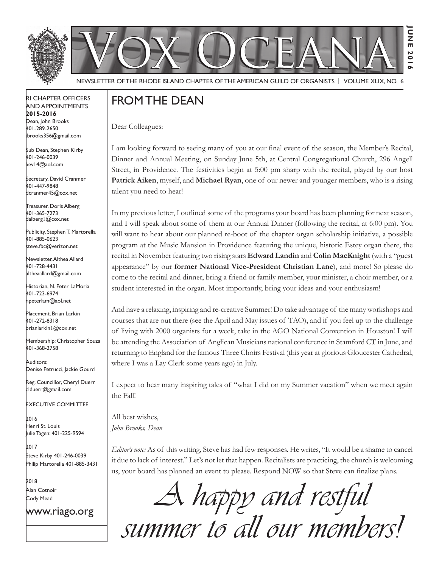



Newsletter of the Rhode Island Chapter of the American Guild of OrganistS | Volume XLIX, No. 6

### RI Chapter Officers and Appointments **2015-2016** Dean, John Brooks 401-289-2650 jbrooks356@gmail.com

Sub Dean, Stephen Kirby 401-246-0039 kev14@aol.com

Secretary, David Cranmer 401-447-9848 dcranmer45@cox.net

Treasurer, Doris Alberg 401-365-7273 dalberg1@cox.net I

Publicity, Stephen T. Martorella 401-885-0623 steve.fbc@verizon.net

Newsletter, Althea Allard 401-728-4431 altheaallard@gmail.com

Historian, N. Peter LaMoria 401-723-6974 npeterlam@aol.net

Placement, Brian Larkin 401-272-8318 brianlarkin1@cox.net

Membership: Christopher Souza 401-368-2758

Auditors: Denise Petrucci, Jackie Gourd

Reg. Councillor, Cheryl Duerr clduerr@gmail.com

Executive Committee

2016 Henri St. Louis Julie Tagen: 401-225-9594

2017 Steve Kirby 401-246-0039 Philip Martorella 401-885-3431

2018 Alan Cotnoir Cody Mead

www.riago.org

# FROM THE DEAN

Dear Colleagues:

I am looking forward to seeing many of you at our final event of the season, the Member's Recital, Dinner and Annual Meeting, on Sunday June 5th, at Central Congregational Church, 296 Angell Street, in Providence. The festivities begin at 5:00 pm sharp with the recital, played by our host **Patrick Aiken**, myself, and **Michael Ryan**, one of our newer and younger members, who is a rising talent you need to hear!

**June 2016**

**201**  $\sim$ 

**JUNE** 

In my previous letter, I outlined some of the programs your board has been planning for next season, and I will speak about some of them at our Annual Dinner (following the recital, at 6:00 pm). You will want to hear about our planned re-boot of the chapter organ scholarship initiative, a possible program at the Music Mansion in Providence featuring the unique, historic Estey organ there, the recital in November featuring two rising stars **Edward Landin** and **Colin MacKnight** (with a "guest appearance" by our **former National Vice-President Christian Lane**), and more! So please do come to the recital and dinner, bring a friend or family member, your minister, a choir member, or a student interested in the organ. Most importantly, bring your ideas and your enthusiasm!

And have a relaxing, inspiring and re-creative Summer! Do take advantage of the many workshops and courses that are out there (see the April and May issues of TAO), and if you feel up to the challenge of living with 2000 organists for a week, take in the AGO National Convention in Houston! I will be attending the Association of Anglican Musicians national conference in Stamford CT in June, and returning to England for the famous Three Choirs Festival (this year at glorious Gloucester Cathedral, where I was a Lay Clerk some years ago) in July.

I expect to hear many inspiring tales of "what I did on my Summer vacation" when we meet again the Fall!

All best wishes, *John Brooks, Dean*

*Editor's note:* As of this writing, Steve has had few responses. He writes, "It would be a shame to cancel it due to lack of interest." Let's not let that happen. Recitalists are practicing, the church is welcoming us, your board has planned an event to please. Respond NOW so that Steve can finalize plans.

A happy and restful<br>summer to all our members!